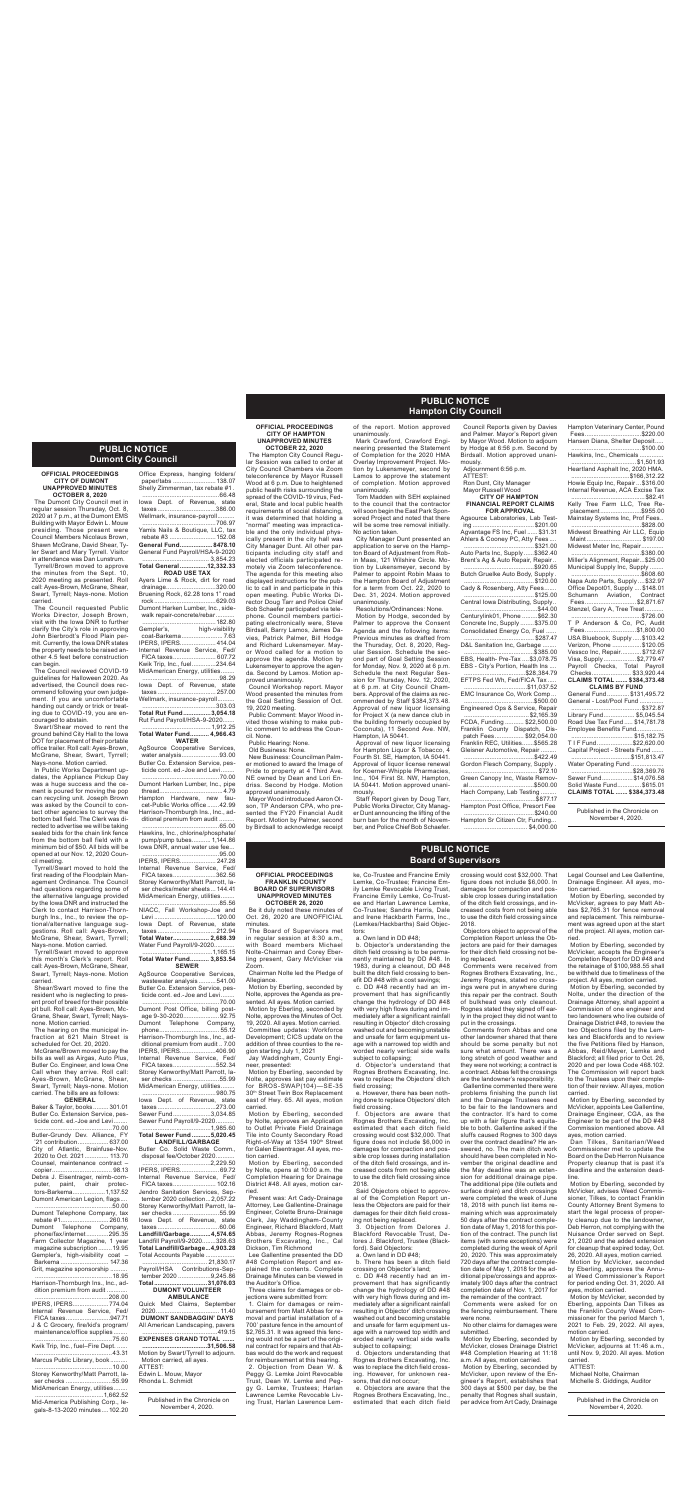**PUBLIC NOTICE Hampton City Council**

#### **OFFICIAL PROCEEDINGS CITY OF HAMPTON UNAPPROVED MINUTES OCTOBER 22, 2020**

The Hampton City Council Regular Session was called to order at City Council Chambers via Zoom teleconference by Mayor Russell Wood at 6 p.m. Due to heightened public health risks surrounding the spread of the COVID-19 virus, Federal, State and local public health requirements of social distancing, it was determined that holding a "normal" meeting was impracticable and the only individual physically present in the city hall was City Manager Dunt. All other participants including city staff and elected officials participated remotely via Zoom teleconference. The agenda for this meeting also displayed instructions for the public to call in and participate in this open meeting. Public Works Director Doug Tarr and Police Chief Bob Schaefer participated via telephone. Council members participating electronically were, Steve Birdsall, Barry Lamos, James Davies, Patrick Palmer, Bill Hodge and Richard Lukensmeyer. Mayor Wood called for a motion to approve the agenda. Motion by Lukensmeyer to approve the agenda. Second by Lamos. Motion approved unanimously.

Council Workshop report. Mayor Wood presented the minutes from he Goal Setting Session of Oct. 19, 2020 meeting.

Public Comment: Mayor Wood invited those wishing to make pubc comment to address the Council. None.

Public Hearing: None.

Old Business: None. New Business: Councilman Palmer motioned to award the Image of Pride to property at 4 Third Ave. NE owned by Dean and Lori Endriss. Second by Hodge. Motion approved unanimously. Mayor Wood introduced Aaron Olson, TP Anderson CPA, who presented the FY20 Financial Audit

and Palmer. Mayor's Report given by Mayor Wood. Motion to adjourn by Hodge at 6:56 p.m. Second by Birdsall. Motion approved unanimously. Adjournment 6:56 p.m. ATTEST: Ron Dunt, City Manager Mayor Russell Wood **CITY OF HAMPTON FINANCIAL REPORT CLAIMS FOR APPROVAL** Agsource Laboratories, Lab Testing ....................................\$201.00 Agvantage FS Inc, Fuel ...... \$31.31 Ahlers & Cooney PC, Atty Fees .... .........................................\$321.00 Auto Parts Inc, Supply ......\$362.40 Brent's Ag & Auto Repair, Repair .. .........................................\$920.65 Butch Gruelke Auto Body, Supply . .........................................\$120.00 Cady & Rosenberg, Atty Fees ....... .........................................\$125.00 Central Iowa Distributing, Supply .. ...........................................\$44.00 Centurylink01, Phone .........\$62.30 Concrete Inc, Supply ........\$375.00 Consolidated Energy Co, Fuel .  $\ldots$ \$287.47 D&L Sanitation Inc, Garbage .

of the report. Motion approved unanimously.

Mark Crawford, Crawford Engineering presented the Statement of Completion for the 2020 HMA Overlay Improvement Project. Motion by Lukensmeyer, second by Lamos to approve the statement of completion. Motion approved unanimously. Tom Madden with SEH explained

to the council that the contractor will soon begin the East Park Sponsored Project and noted that there will be some tree removal initially. No action taken.

> .........................................\$385.00 EBS, Health- Pre-Tax ....\$3,078.75 EBS - City's Portion, Health Ins ... .....\$28,384.79 EFTPS Fed Wh, Fed/FICA Tax .....<br>..... \$11.037.52

City Manager Dunt presented an application to serve on the Hampton Board of Adjustment from Robin Maas, 121 Wilshire Circle. Motion by Lukensmeyer, second by Palmer to appoint Robin Maas to the Hampton Board of Adjustment for a term from Oct. 22, 2020 to Dec. 31, 2024. Motion approved unanimously.

Report. Motion by Palmer, second by Birdsall to acknowledge receipt mously.

Resolutions/Ordinances: None. Motion by Hodge, seconded by Palmer to approve the Consent Agenda and the following items: Previous minutes as drafted from the Thursday, Oct. 8, 2020, Regular Session. Schedule the second part of Goal Setting Session for Monday, Nov. 9, 2020 at 6 p.m. Schedule the next Regular Session for Thursday, Nov. 12, 2020, at 6 p.m. at City Council Chambers. Approval of the claims as recommended by Staff \$384,373.48. Approval of new liquor licensing for Project X (a new dance club in the building formerly occupied by Coconuts), 11 Second Ave. NW, Hampton, IA 50441.

Approval of new liquor licensing for Hampton Liquor & Tobacco, 4 Fourth St. SE, Hampton, IA 50441. Approval of liquor license renewal for Koerner-Whipple Pharmacies, Inc., 104 First St. NW, Hampton IA 50441. Motion approved unani-

Staff Report given by Doug Tarr, Public Works Director, City Manager Dunt announcing the lifting of the burn ban for the month of November, and Police Chief Bob Schaefer.

Council Reports given by Davies

 .....................................\$11,037.52 EMC Insurance Co, Work Comp ... .........................................\$500.00

Engineered Ops & Service, Repair ......................................\$2,165.39 FCDA, Funding ........... \$22,500.00 Franklin County Dispatch, Dispatch Fees ................. \$92,054.00 Franklin REC, Utilities .......\$565.28 Gleisner Automotive, Repair .........<br>\$422 49 .........................................\$422.49 Gordon Flesch Company, Supply . ........................................... \$72.10 Green Canopy Inc, Waste Remov-

al ......................................\$500.00 Hach Company, Lab Testing ......... ..........................................\$877.17

Hampton Post Office, Presort Fee .........................................\$240.00 Hampton Sr Citizen Ctr, Funding...

 $.$ \$4,000.00

Hampton Veterinary Center, Pound<br>Fees ............................\$220.00 Fees .................................\$220.00 Hansen Diana, Shelter Deposit ..... .........................................\$100.00 Hawkins, Inc., Chemicals .............. ...................................... \$1,501.93 Heartland Asphalt Inc, 2020 HMA . ...................................\$166,312.22 Howie Equip Inc, Repair ...\$316.00 Internal Revenue, ACA Excise Tax ...........................................\$82.41 Kelly Tree Farm LLC, Tree Replacement ........................\$955.00 Mainstay Systems Inc, Prof Fees .. .........................................\$828.00 Midwest Breathing Air LLC, Equip Maint ................................ \$197.00 Midwest Meter Inc, Repair............. .........................................\$380.00 Miller's Alignment, Repair ...\$25.00 Municipal Supply Inc, Supply ........ .........................................\$608.60 Napa Auto Parts, Supply ....\$32.97 Office Depot01, Supply .... \$148.01 Schumann Aviation, Contract Fees .............................. \$2,871.67 Stenzel, Gary A, Tree Treat........... .........................................\$726.00 T P Anderson & Co, PC, Audit Fees ..............................\$1,800.00 USA Bluebook, Supply .....\$103.42<br>Verizon Phone \$120.05 Verizon, Phone .................\$120.05 Vessco Inc, Repair ............ \$712.67 Visa, Supply ...................\$2,779.47 Payroll Checks, Total Payroll Checks ....................... \$33,920.44 **CLAIMS TOTAL ....... \$384,373.48 CLAIMS BY FUND** General Fund ............. \$131,495.72 General - Lost/Pool Fund .... .........................................\$372.87 Library Fund .................. \$5,045.54 Road Use Tax Fund ..... \$14,781.78 Employee Benefits Fund................ .................................... \$15,182.75 T I F Fund .....................\$22,620.00 Capital Project - Streets Fund ... .....\$151,813.47 Water Operating Fund ................... ....................................\$28,369.76 Sewer Fund ..................\$14,076.58 Solid Waste Fund...............\$615.01

Comments were received from Rognes Brothers Excavating, Inc., Jeremy Rognes, stated no crossings were put in anywhere during this repair per the contract. South of bulkhead was only cleanout. Rognes stated they signed off early in the project they did not want to put in the crossings.

Motion by Eberling, seconded by McVicker, agrees to pay Matt Abbas \$2,765.31 for fence removal and replacement. This reimbursement was agreed upon at the start of the project. All ayes, motion carried.

#### **CLAIMS TOTAL ....... \$384,373.48**

Published in the Chronicle on November 4, 2020.

**PUBLIC NOTICE Board of Supervisors**

**OFFICIAL PROCEEDINGS FRANKLIN COUNTY BOARD OF SUPERVISORS UNAPPROVED MINUTES OCTOBER 26, 2020** Be it duly noted these minutes of Oct. 26, 2020 are UNOFFICIAL

minutes.

The Board of Supervisors met in regular session at 8:30 a.m., with Board members Michael Nolte-Chairman and Corey Eberling present, Gary McVicker via

Zoom.

Chairman Nolte led the Pledge of

Allegiance.

Motion by Eberling, seconded by Nolte, approves the Agenda as presented. All ayes. Motion carried. Motion by Eberling, seconded by Nolte, approves the Minutes of Oct. 19, 2020. All ayes. Motion carried. Committee updates: Workforce Development; CICS update on the addition of three counties to the region starting July 1, 2021 Jay Waddingham, County Engi-

## **PUBLIC NOTICE Dumont City**

neer, presented:

> Motion by Eberling, seconded by Nolte, approves last pay estimate for BROS-SWAP(104)—SE-35 30<sup>th</sup> Street Twin Box Replacement east of Hwy. 65. All ayes, motion

carried.

Motion by Eberling, seconded by Nolte, approves an Application to Outlet Private Field Drainage Tile into County Secondary Road<br>Right-of-Way at 1354 190<sup>th</sup> Street for Galen Eisentrager. All ayes, mo-

tion carried.

Motion by Eberling, seconded by Nolte, opens at 10:00 a.m. the Completion Hearing for Drainage District #48. All ayes, motion car-

ried.

Present was: Art Cady-Drainage Attorney, Lee Gallentine-Drainage Engineer, Colette Bruns-Drainage Clerk, Jay Waddingham-County Engineer, Richard Blackford, Matt Abbas, Jeremy Rognes-Rognes Brothers Excavating, Inc., Cal Dickson, Tim Richmond Lee Gallentine presented the DD #48 Completion Report and explained the contents. Complete Drainage Minutes can be viewed in

the Auditor's Office.

Three claims for damages or objections were submitted from: 1. Claim for damages or reimbursement from Matt Abbas for removal and partial installation of a 700' pasture fence in the amount of \$2,765.31. It was agreed this fencing would not be a part of the original contract for repairs and that Abbas would do the work and request for reimbursement at this hearing. 2. Objection from Dean W. & Peggy G. Lemke Joint Revocable Trust, Dean W. Lemke and Peggy G. Lemke, Trustees; Harlan Lawrence Lemke Revocable Living Trust, Harlan Lawrence Lem-

Baker & Taylor, books ......... 301.01 Butter Co. Extension Service, pesticide cont. ed.-Joe and Levi. .............................................70.00 Butler-Grundy Dev. Alliance, FY '21 contribution .................. 637.00 City of Atlantic, Brainfuse-Nov. 2020 to Oct. 2021 .............. 113.70 Counsel, maintenance contract – copier ... Debra J. Eisentrager, reimb-computer, paint, chair protec-<br>tors-Barkema..................1.137.52 tors-Barkema... Dumont American Legion, flags ....50.00 Dumont Telephone Company, tax<br>PAN 16 rebate #1............................ 260.16 Dumont Telephone Company, phone/fax/internet .............295.35 Farm Collector Magazine, 1 year magazine subscription ........19.95 Gempler's, high-visibility coat – Barkema ... Grit, magazine sponsorship .......... .............................................18.95 Harrison-Thornburgh Ins., Inc., addition premium from audit

ke, Co-Trustee and Francine Emily Lemke, Co-Trustee; Francine Emily Lemke Revocable Living Trust, Francine Emily Lemke, Co-Trustee and Harlan Lawrence Lemke, Co-Trustee; Sandra Harris, Dale and Irene Hackbarth Farms, Inc., (Lemkes/Hackbarths) Said Objectors:

a. Own land in DD #48;

b. Objector's understanding the ditch field crossing is to be permanently maintained by DD #48. In 1983, during a cleanout, DD #48 built the ditch field crossing to benefit DD #48 with a cost savings;

c. DD #48 recently had an improvement that has significantly change the hydrology of DD #48 with very high flows during and immediately after a significant rainfall resulting in Objector' ditch crossing washed out and becoming unstable and unsafe for farm equipment usage with a narrowed top width and worded nearly vertical side walls subject to collapsing;

d. Objector's understand that Rognes Brothers Excavating, Inc. was to replace the Objectors' ditch field crossing;

e. However, there has been nothing done to replace Objectors' ditch field crossing.

f. Objectors are aware that Rognes Brothers Excavating, Inc. estimated that each ditch field crossing would cost \$32,000. That figure does not include \$6,000 in damages for compaction and possible crop losses during installation of the ditch field crossings, and increased costs from not being able to use the ditch field crossing since 2018.

Said Objectors object to approval of the Completion Report unless the Objectors are paid for their damages for their ditch field crossing not being replaced. 3. Objection from Delores J.

**Total WATER** AgSource Cooperative Services, water analysis ......................93.00 Butler Co. Extension Service, pes-

> Blackford Revocable Trust, Delores J. Blackford, Trustee (Black-

ford). Said Objectors: a. Own land in DD #48;

b. There has been a ditch field crossing on Objector's land;

c. DD #48 recently had an improvement that has significantly change the hydrology of DD #48 with very high flows during and immediately after a significant rainfall resulting in Objector' ditch crossing washed out and becoming unstable and unsafe for farm equipment usage with a narrowed top width and eroded nearly vertical side walls subject to collapsing;

d. Objectors understanding that Rognes Brothers Excavating, Inc. was to replace the ditch field crossing. However, for unknown reasons, that did not occur;

e. Objectors are aware that the Rognes Brothers Excavating, Inc., estimated that each ditch field crossing would cost \$32,000. That figure does not include \$6,000. In damages for compaction and possible crop losses during installation of the ditch field crossings, and increased costs from not being able to use the ditch field crossing since 2018. Objectors object to approval of the

Completion Report unless the Objectors are paid for their damages for their ditch field crossing not being replaced.

Quick Med Claims, September 2020 ..................................... 11.40 **DUMONT SANDBAGGIN' DAYS** All American Landscaping, pavers ..419.15

**EXPENSES GRAND TOTAL** 

Comments from Abbas and one other landowner shared that there should be some penalty but not sure what amount. There was a long stretch of good weather and they were not working; a contract is a contract. Abbas felt the crossings are the landowner's responsibility. Gallentine commented there were problems finishing the punch list and the Drainage Trustees need to be fair to the landowners and the contractor. It's hard to come up with a fair figure that's equitable to both. Gallentine asked if the sluffs caused Rognes to 300 days over the contract deadline? He answered, no. The main ditch work should have been completed in November the original deadline and the May deadline was an extension for additional drainage pipe. The additional pipe (tile outlets and surface drain) and ditch crossings were completed the week of June 18, 2018 with punch list items remaining which was approximately 50 days after the contract completion date of May 1, 2018 for this portion of the contract. The punch list items (with some exceptions) were completed during the week of April 20, 2020. This was approximately 720 days after the contract completion date of May 1, 2018 for the additional pipe/crossings and approximately 900 days after the contract completion date of Nov. 1, 2017 for the remainder of the contract. Comments were asked for on

the fencing reimbursement. There were none.

No other claims for damages were submitted.

Motion by Eberling, seconded by McVicker, closes Drainage District #48 Completion Hearing at 11:18

a.m. All ayes, motion carried. Motion by Eberling, seconded by McVicker, upon review of the Engineer's Report, establishes that 300 days at \$500 per day, be the penalty that Rognes shall sustain, per advice from Art Cady, Drainage

Legal Counsel and Lee Gallentine, Drainage Engineer. All ayes, motion carried.

Motion by Eberling, seconded by McVicker, accepts the Engineer's Completion Report for DD #48 and the retainage of \$100,988.55 shall be withheld due to timeliness of the project. All ayes, motion carried.

Motion by Eberling, seconded by Nolte, under the direction of the Drainage Attorney, shall appoint a Commission of one engineer and two landowners who live outside of Drainage District #48, to review the two Objections filed by the Lemkes and Blackfords and to review the five Petitions filed by Hanson, Abbas, Reid/Meyer, Lemke and Blackford; all filed prior to Oct. 26, 2020 and per Iowa Code 468.102. The Commission will report back to the Trustees upon their completion of their review. All ayes, motion carried.

Motion by Eberling, seconded by McVicker, appoints Lee Gallentine, Drainage Engineer, CGA, as the Engineer to be part of the DD #48 Commission mentioned above. All ayes, motion carried.

Dan Tilkes, Sanitarian/Weed Commissioner met to update the Board on the Deb Herron Nuisance Property cleanup that is past it's deadline and the extension deadline.

Motion by Eberling, seconded by McVicker, advises Weed Commissioner, Tilkes, to contact Franklin County Attorney Brent Symens to start the legal process of property cleanup due to the landowner, Deb Herron, not complying with the Nuisance Order served on Sept. 21, 2020 and the added extension for cleanup that expired today, Oct. 26, 2020. All ayes, motion carried. Motion by McVicker, seconded by Eberling, approves the Annual Weed Commissioner's Report for period ending Oct. 31, 2020. All ayes, motion carried.

Motion by McVicker, seconded by Eberling, appoints Dan Tilkes as the Franklin County Weed Commissioner for the period March 1, 2021 to Feb. 29, 2022. All ayes, motion carried.

Motion by Eberling, seconded by McVicker, adjourns at 11:46 a.m. until Nov. 9, 2020. All ayes. Motion carried.

ATTEST:

Michael Nolte, Chairman Michelle S. Giddings, Auditor

Published in the Chronicle on November 4, 2020.

#### **OFFICIAL PROCEEDINGS CITY OF DUMONT UNAPPROVED MINUTES OCTOBER 8, 2020**

The Dumont City Council met in regular session Thursday, Oct. 8, 2020 at 7 p.m., at the Dumont EMS Building with Mayor Edwin L. Mouw presiding. Those present were Council Members Nicolaus Brown, Shawn McGrane, David Shear, Tyler Swart and Mary Tyrrell. Visitor in attendance was Dan Lunstrum. Tyrrell/Brown moved to approve the minutes from the Sept. 10, 2020 meeting as presented. Roll call: Ayes-Brown, McGrane, Shear, Swart, Tyrrell; Nays-none. Motion carried.

The Council requested Public Works Director, Joseph Brown, visit with the Iowa DNR to further clarify the City's role in approving John Bierbrodt's Flood Plain permit. Currently, the Iowa DNR states the property needs to be raised another 4.5 feet before construction can begin.

The Council reviewed COVID-19 guidelines for Halloween 2020. As advertised, the Council does recommend following your own judgement. If you are uncomfortable handing out candy or trick or treating due to COVID-19, you are encouraged to abstain.

Swart/Shear moved to rent the ground behind City Hall to the Iowa DOT for placement of their portable office trailer. Roll call: Ayes-Brown, McGrane, Shear, Swart, Tyrrell; Nays-none. Motion carried.

In Public Works Department updates, the Appliance Pickup Day was a huge success and the cement is poured for moving the pop

can recycling unit. Joseph Brown was asked by the Council to contact other agencies to survey the bottom ball field. The Clerk was directed to advertise we will be taking sealed bids for the chain link fence from the bottom ball field with a minimum bid of \$50. All bids will be opened at our Nov. 12, 2020 Council meeting.

Tyrrell/Swart moved to hold the first reading of the Floodplain Management Ordinance. The Council had questions regarding some of the alternative language provided by the Iowa DNR and instructed the Clerk to contact Harrison-Thornburgh Ins., Inc., to review the optional/alternative language suggestions. Roll call: Ayes-Brown, McGrane, Shear, Swart, Tyrrell; Nays-none. Motion carried.

Tyrrell/Swart moved to approve this month's Clerk's report. Roll call: Ayes-Brown, McGrane, Shear, Swart, Tyrrell; Nays-none. Motion carried.

Shear/Swart moved to fine the resident who is neglecting to present proof of breed for their possible pit bull. Roll call: Ayes-Brown, Mc-Grane, Shear, Swart, Tyrrell; Naysnone. Motion carried.

The hearing on the municipal infraction at 621 Main Street is scheduled for Oct. 20, 2020.

McGrane/Brown moved to pay the bills as well as Airgas, Auto Plus, Butler Co. Engineer, and Iowa One Call when they arrive. Roll call: Ayes-Brown, McGrane, Shear, Swart, Tyrrell; Nays-none. Motion carried. The bills are as follows:

### **GENERAL**

| 208.00                             |  |
|------------------------------------|--|
| IPERS, IPERS774.04                 |  |
| Internal Revenue Service, Fed/     |  |
| FICA taxes947.71                   |  |
| J & C Grocery, fire/kid's program/ |  |
| maintenance/office supplies        |  |
| 75.60                              |  |
| Kwik Trip, Inc., fuel-Fire Dept    |  |
|                                    |  |
| Marcus Public Library, book        |  |
|                                    |  |
| Storey Kenworthy/Matt Parrott, la- |  |
| ser checks 55.99                   |  |
| MidAmerican Energy, utilities      |  |
|                                    |  |

Mid-America Publishing Corp., legals-8-13-2020 minutes ....102.20

| y Council                                                                                           |
|-----------------------------------------------------------------------------------------------------|
| Office Express, hanging folders/<br>paper/tabs  138.07<br>Shelly Zimmerman, tax rebate #1.<br>66.48 |
| lowa Dept. of Revenue, state<br>taxes386.00<br>Wellmark, insurance-payroll                          |
|                                                                                                     |
| Yamis Nails & Boutique, LLC, tax<br>rebate #3  152.08                                               |
| General Fund 8478.10                                                                                |
| General Fund Payroll/HSA-9-2020                                                                     |
|                                                                                                     |
| Total General12,332.33<br><b>ROAD USE TAX</b>                                                       |
|                                                                                                     |
| Ayers Lime & Rock, dirt for road<br>drainage320.00                                                  |
| Bruening Rock, 62.28 tons 1" road                                                                   |
|                                                                                                     |
| Dumont Harken Lumber, Inc., side-                                                                   |
| walk repair-concrete/rebar                                                                          |
|                                                                                                     |
| Gempler's, high-visibility                                                                          |
| coat-Barkema 7.63                                                                                   |
| IPERS, IPERS 414.04                                                                                 |
| Internal Revenue Service, Fed/                                                                      |
| FICA taxes 607.72                                                                                   |
| Kwik Trip, Inc., fuel234.64<br>MidAmorican Energy utilities                                         |
|                                                                                                     |

| Gempler's.                     | high-visibility | R            |
|--------------------------------|-----------------|--------------|
|                                |                 | V            |
| IPERS, IPERS 414.04            |                 | a            |
| Internal Revenue Service. Fed/ |                 | O            |
| FICA taxes 607.72              |                 | a            |
| Kwik Trip, Inc., fuel234.64    |                 | L            |
| MidAmerican Energy, utilities  |                 | d            |
|                                |                 | р            |
| lowa Dept. of Revenue, state   |                 | ı            |
|                                |                 | V            |
| Wellmark, insurance-payroll    |                 | tŀ           |
|                                |                 | 1            |
| Total Rut Fund3.054.18         |                 | I            |
| Rut Fund Payroll/HSA-9-2020    |                 | $\mathsf{v}$ |
|                                |                 | li           |
| Total Water Fund 4,966.43      |                 | C            |
| MATED                          |                 |              |

ticide cont. ed.-Joe and Levi ........ .............................................70.00 Dumont Harken Lumber, Inc., pipe

thread..................................... 4.79 Hampton Hardware, new faucet-Public Works office .......42.99 ditional premium from audit .........

| cet-Public Works office 42.99                                        |
|----------------------------------------------------------------------|
| Harrison-Thornburgh Ins., Inc., ad-<br>ditional premium from audit   |
|                                                                      |
| Hawkins, Inc., chlorine/phosphate/                                   |
| pump/pump tubes 1,144.86                                             |
| lowa DNR, annual water use fee                                       |
|                                                                      |
| IPERS, IPERS 247.28                                                  |
| Internal Revenue Service, Fed/                                       |
| FICA taxes362.56                                                     |
| Storey Kenworthy/Matt Parrott, la-<br>ser checks/meter sheets 144.41 |
| MidAmerican Energy, utilities                                        |
|                                                                      |
| NIACC, Fall Workshop-Joe and                                         |
|                                                                      |
|                                                                      |
| Total Water 2,688.39                                                 |
| Water Fund Payroll/9-2020                                            |
|                                                                      |
| Total Water Fund 3,853.54                                            |
| <b>SEWER</b>                                                         |
| AgSource Cooperative Services,                                       |
| wastewater analysis  541.00                                          |
| Butler Co. Extension Service, pes-<br>ticide cont. ed.-Joe and Levi  |
|                                                                      |
| Dumont Post Office, billing post-                                    |
|                                                                      |
| Dumont Telephone Company,                                            |
|                                                                      |
| Harrison-Thornburgh Ins., Inc., ad-                                  |
| ditional premium from audit  7.00<br>IPERS, IPERS406.90              |
| Internal Revenue Service, Fed/                                       |
| FICA taxes552.34                                                     |
| Storey Kenworthy/Matt Parrott, la-                                   |
| ser checks 55.99                                                     |
| MidAmerican Energy, utilities                                        |
| lowa Dept. of Revenue, state                                         |
|                                                                      |
|                                                                      |
| Sewer Fund3,034.85<br>Sewer Fund Payroll/9-2020                      |
|                                                                      |
| Total Sewer Fund 5,020.45                                            |
| <b>LANDFILL/GARBAGE</b>                                              |
| Butler Co. Solid Waste Comm.,<br>disposal fee/October 2020           |
|                                                                      |
| IPERS, IPERS 69.72                                                   |
| Internal Revenue Service, Fed/<br>FICA taxes 102.16                  |
|                                                                      |
| Jendro Sanitation Services, Sep-                                     |
| tember 2020 collection2,057.22                                       |
| Storey Kenworthy/Matt Parrott, la-<br>ser checks 55.99               |
| Dept. of Revenue,<br>state<br>lowa                                   |
|                                                                      |
| Landfill/Garbage4,574.65                                             |
| Landfill Payroll/9-2020328.63                                        |
| Total Landfill/Garbage4,903.28                                       |
| Total Accounts Payable                                               |
|                                                                      |

| Payroll/HSA Contributions-Sep- |
|--------------------------------|
| tember 2020 9,245.86           |
| Total…………………………31,076.03       |
| <b>DUMONT VOLUNTEER</b>        |
|                                |

### **AMBULANCE**

 **......................................31,506.58** Motion by Swart/Tyrrell to adjourn. Motion carried, all ayes. ATTEST: Edwin L. Mouw, Mayor

# Rhonda L. Schmidt

Published in the Chronicle on November 4, 2020.